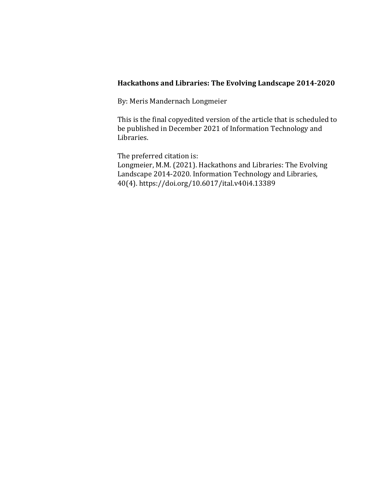### **Hackathons and Libraries: The Evolving Landscape 2014-2020**

By: Meris Mandernach Longmeier

This is the final copyedited version of the article that is scheduled to be published in December 2021 of Information Technology and Libraries.

The preferred citation is: Longmeier, M.M. (2021). Hackathons and Libraries: The Evolving Landscape 2014-2020. Information Technology and Libraries, 40(4). https://doi.org/10.6017/ital.v40i4.13389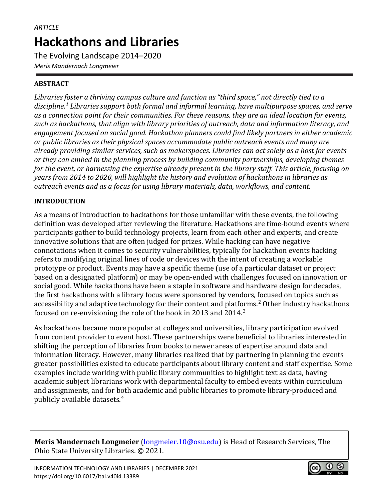The Evolving Landscape 2014–2020 *Meris Mandernach Longmeier*

# **ABSTRACT**

*Libraries foster a thriving campus culture and function as "third space," not directly tied to a discipline. [1](#page-13-0) Libraries support both formal and informal learning, have multipurpose spaces, and serve as a connection point for their communities. For these reasons, they are an ideal location for events, such as hackathons, that align with library priorities of outreach, data and information literacy, and engagement focused on social good. Hackathon planners could find likely partners in either academic or public libraries as their physical spaces accommodate public outreach events and many are already providing similar services, such as makerspaces. Libraries can act solely as a host for events or they can embed in the planning process by building community partnerships, developing themes for the event, or harnessing the expertise already present in the library staff. This article, focusing on years from 2014 to 2020, will highlight the history and evolution of hackathons in libraries as outreach events and as a focus for using library materials, data, workflows, and content.* 

### **INTRODUCTION**

As a means of introduction to hackathons for those unfamiliar with these events, the following definition was developed after reviewing the literature. Hackathons are time-bound events where participants gather to build technology projects, learn from each other and experts, and create innovative solutions that are often judged for prizes. While hacking can have negative connotations when it comes to security vulnerabilities, typically for hackathon events hacking refers to modifying original lines of code or devices with the intent of creating a workable prototype or product. Events may have a specific theme (use of a particular dataset or project based on a designated platform) or may be open-ended with challenges focused on innovation or social good. While hackathons have been a staple in software and hardware design for decades, the first hackathons with a library focus were sponsored by vendors, focused on topics such as accessibility and adaptive technology for their content and platforms. [2](#page-13-1) Other industry hackathons focused on re-envisioning the role of the book in 2013 and 2014. [3](#page-14-0) 

As hackathons became more popular at colleges and universities, library participation evolved from content provider to event host. These partnerships were beneficial to libraries interested in shifting the perception of libraries from books to newer areas of expertise around data and information literacy. However, many libraries realized that by partnering in planning the events greater possibilities existed to educate participants about library content and staff expertise. Some examples include working with public library communities to highlight text as data, having academic subject librarians work with departmental faculty to embed events within curriculum and assignments, and for both academic and public libraries to promote library-produced and publicly available datasets. [4](#page-14-1)

**Meris Mandernach Longmeier** [\(longmeier.10@osu.edu\)](mailto:longmeier.10@osu.edu) is Head of Research Services, The Ohio State University Libraries. © 2021.

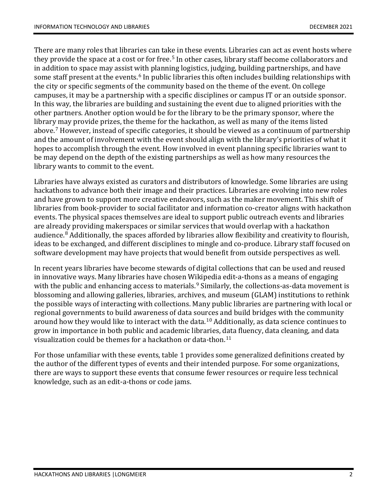There are many roles that libraries can take in these events. Libraries can act as event hosts where they provide the space at a cost or for free.<sup>[5](#page-14-2)</sup> In other cases, library staff become collaborators and in addition to space may assist with planning logistics, judging, building partnerships, and have some staff present at the events. [6](#page-14-3) In public libraries this often includes building relationships with the city or specific segments of the community based on the theme of the event. On college campuses, it may be a partnership with a specific disciplines or campus IT or an outside sponsor. In this way, the libraries are building and sustaining the event due to aligned priorities with the other partners. Another option would be for the library to be the primary sponsor, where the library may provide prizes, the theme for the hackathon, as well as many of the items listed above. [7](#page-15-0) However, instead of specific categories, it should be viewed as a continuum of partnership and the amount of involvement with the event should align with the library's priorities of what it hopes to accomplish through the event. How involved in event planning specific libraries want to be may depend on the depth of the existing partnerships as well as how many resources the library wants to commit to the event.

Libraries have always existed as curators and distributors of knowledge. Some libraries are using hackathons to advance both their image and their practices. Libraries are evolving into new roles and have grown to support more creative endeavors, such as the maker movement. This shift of libraries from book-provider to social facilitator and information co-creator aligns with hackathon events. The physical spaces themselves are ideal to support public outreach events and libraries are already providing makerspaces or similar services that would overlap with a hackathon audience. [8](#page-15-1) Additionally, the spaces afforded by libraries allow flexibility and creativity to flourish, ideas to be exchanged, and different disciplines to mingle and co-produce. Library staff focused on software development may have projects that would benefit from outside perspectives as well.

In recent years libraries have become stewards of digital collections that can be used and reused in innovative ways. Many libraries have chosen Wikipedia edit-a-thons as a means of engaging with the public and enhancing access to materials. [9](#page-15-2) Similarly, the collections-as-data movement is blossoming and allowing galleries, libraries, archives, and museum (GLAM) institutions to rethink the possible ways of interacting with collections. Many public libraries are partnering with local or regional governments to build awareness of data sources and build bridges with the community around how they would like to interact with the data. [10](#page-15-3) Additionally, as data science continues to grow in importance in both public and academic libraries, data fluency, data cleaning, and data visualization could be themes for a hackathon or data-thon. $^{\rm 11}$  $^{\rm 11}$  $^{\rm 11}$ 

For those unfamiliar with these events, table 1 provides some generalized definitions created by the author of the different types of events and their intended purpose. For some organizations, there are ways to support these events that consume fewer resources or require less technical knowledge, such as an edit-a-thons or code jams.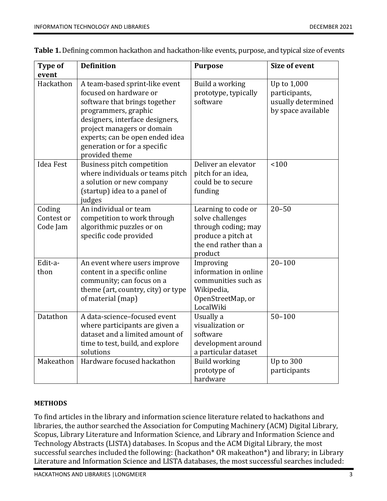| <b>Type of</b><br>event          | <b>Definition</b>                                                                                                                                                                                                                                                       | <b>Purpose</b>                                                                                                           | <b>Size of event</b>                                                     |
|----------------------------------|-------------------------------------------------------------------------------------------------------------------------------------------------------------------------------------------------------------------------------------------------------------------------|--------------------------------------------------------------------------------------------------------------------------|--------------------------------------------------------------------------|
| Hackathon                        | A team-based sprint-like event<br>focused on hardware or<br>software that brings together<br>programmers, graphic<br>designers, interface designers,<br>project managers or domain<br>experts; can be open ended idea<br>generation or for a specific<br>provided theme | Build a working<br>prototype, typically<br>software                                                                      | Up to 1,000<br>participants,<br>usually determined<br>by space available |
| <b>Idea Fest</b>                 | Business pitch competition<br>where individuals or teams pitch<br>a solution or new company<br>(startup) idea to a panel of<br>judges                                                                                                                                   | Deliver an elevator<br>pitch for an idea,<br>could be to secure<br>funding                                               | 100                                                                      |
| Coding<br>Contest or<br>Code Jam | An individual or team<br>competition to work through<br>algorithmic puzzles or on<br>specific code provided                                                                                                                                                             | Learning to code or<br>solve challenges<br>through coding; may<br>produce a pitch at<br>the end rather than a<br>product | $20 - 50$                                                                |
| Edit-a-<br>thon                  | An event where users improve<br>content in a specific online<br>community; can focus on a<br>theme (art, country, city) or type<br>of material (map)                                                                                                                    | Improving<br>information in online<br>communities such as<br>Wikipedia,<br>OpenStreetMap, or<br>LocalWiki                | $20 - 100$                                                               |
| Datathon                         | A data-science-focused event<br>where participants are given a<br>dataset and a limited amount of<br>time to test, build, and explore<br>solutions                                                                                                                      | Usually a<br>visualization or<br>software<br>development around<br>a particular dataset                                  | $50 - 100$                                                               |
| Makeathon                        | Hardware focused hackathon                                                                                                                                                                                                                                              | <b>Build working</b><br>prototype of<br>hardware                                                                         | Up to 300<br>participants                                                |

**Table 1.** Defining common hackathon and hackathon-like events, purpose, and typical size of events

### **METHODS**

To find articles in the library and information science literature related to hackathons and libraries, the author searched the Association for Computing Machinery (ACM) Digital Library, Scopus, Library Literature and Information Science, and Library and Information Science and Technology Abstracts (LISTA) databases. In Scopus and the ACM Digital Library, the most successful searches included the following: (hackathon\* OR makeathon\*) and library; in Library Literature and Information Science and LISTA databases, the most successful searches included: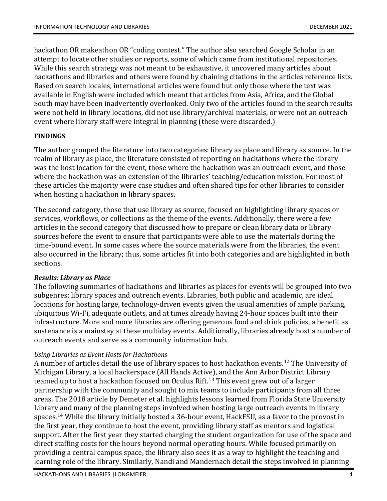hackathon OR makeathon OR "coding contest." The author also searched Google Scholar in an attempt to locate other studies or reports, some of which came from institutional repositories. While this search strategy was not meant to be exhaustive, it uncovered many articles about hackathons and libraries and others were found by chaining citations in the articles reference lists. Based on search locales, international articles were found but only those where the text was available in English were included which meant that articles from Asia, Africa, and the Global South may have been inadvertently overlooked. Only two of the articles found in the search results were not held in library locations, did not use library/archival materials, or were not an outreach event where library staff were integral in planning (these were discarded.)

### **FINDINGS**

The author grouped the literature into two categories: library as place and library as source. In the realm of library as place, the literature consisted of reporting on hackathons where the library was the host location for the event, those where the hackathon was an outreach event, and those where the hackathon was an extension of the libraries' teaching/education mission. For most of these articles the majority were case studies and often shared tips for other libraries to consider when hosting a hackathon in library spaces.

The second category, those that use library as source, focused on highlighting library spaces or services, workflows, or collections as the theme of the events. Additionally, there were a few articles in the second category that discussed how to prepare or clean library data or library sources before the event to ensure that participants were able to use the materials during the time-bound event. In some cases where the source materials were from the libraries, the event also occurred in the library; thus, some articles fit into both categories and are highlighted in both sections.

### *Results: Library as Place*

The following summaries of hackathons and libraries as places for events will be grouped into two subgenres: library spaces and outreach events. Libraries, both public and academic, are ideal locations for hosting large, technology-driven events given the usual amenities of ample parking, ubiquitous Wi-Fi, adequate outlets, and at times already having 24-hour spaces built into their infrastructure. More and more libraries are offering generous food and drink policies, a benefit as sustenance is a mainstay at these multiday events. Additionally, libraries already host a number of outreach events and serve as a community information hub.

### *Using Libraries as Event Hosts for Hackathons*

A number of articles detail the use of library spaces to host hackathon events. [12](#page-15-5) The University of Michigan Library, a local hackerspace (All Hands Active), and the Ann Arbor District Library teamed up to host a hackathon focused on Oculus Rift. [13](#page-15-6) This event grew out of a larger partnership with the community and sought to mix teams to include participants from all three areas. The 2018 article by Demeter et al. highlights lessons learned from Florida State University Library and many of the planning steps involved when hosting large outreach events in library spaces. [14](#page-15-7) While the library initially hosted a 36-hour event, HackFSU, as a favor to the provost in the first year, they continue to host the event, providing library staff as mentors and logistical support. After the first year they started charging the student organization for use of the space and direct staffing costs for the hours beyond normal operating hours. While focused primarily on providing a central campus space, the library also sees it as a way to highlight the teaching and learning role of the library. Similarly, Nandi and Mandernach detail the steps involved in planning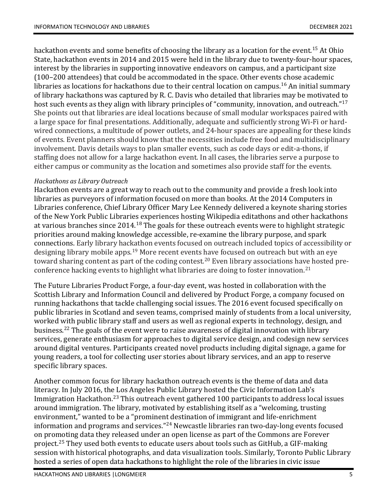hackathon events and some benefits of choosing the library as a location for the event. [15](#page-15-8) At Ohio State, hackathon events in 2014 and 2015 were held in the library due to twenty-four-hour spaces, interest by the libraries in supporting innovative endeavors on campus, and a participant size (100–200 attendees) that could be accommodated in the space. Other events chose academic libraries as locations for hackathons due to their central location on campus. [16](#page-16-0) An initial summary of library hackathons was captured by R. C. Davis who detailed that libraries may be motivated to host such events as they align with library principles of "community, innovation, and outreach."<sup>[17](#page-16-1)</sup> She points out that libraries are ideal locations because of small modular workspaces paired with a large space for final presentations. Additionally, adequate and sufficiently strong Wi-Fi or hardwired connections, a multitude of power outlets, and 24-hour spaces are appealing for these kinds of events. Event planners should know that the necessities include free food and multidisciplinary involvement. Davis details ways to plan smaller events, such as code days or edit-a-thons, if staffing does not allow for a large hackathon event. In all cases, the libraries serve a purpose to either campus or community as the location and sometimes also provide staff for the events.

#### *Hackathons as Library Outreach*

Hackathon events are a great way to reach out to the community and provide a fresh look into libraries as purveyors of information focused on more than books. At the 2014 Computers in Libraries conference, Chief Library Officer Mary Lee Kennedy delivered a keynote sharing stories of the New York Public Libraries experiences hosting Wikipedia editathons and other hackathons at various branches since 2014.<sup>[18](#page-16-2)</sup> The goals for these outreach events were to highlight strategic priorities around making knowledge accessible, re-examine the library purpose, and spark connections. Early library hackathon events focused on outreach included topics of accessibility or designing library mobile apps. [19](#page-16-3) More recent events have focused on outreach but with an eye toward sharing content as part of the coding contest. [20](#page-16-4) Even library associations have hosted preconference hacking events to highlight what libraries are doing to foster innovation. [21](#page-16-5)

The Future Libraries Product Forge, a four-day event, was hosted in collaboration with the Scottish Library and Information Council and delivered by Product Forge, a company focused on running hackathons that tackle challenging social issues. The 2016 event focused specifically on public libraries in Scotland and seven teams, comprised mainly of students from a local university, worked with public library staff and users as well as regional experts in technology, design, and business. [22](#page-16-6) The goals of the event were to raise awareness of digital innovation with library services, generate enthusiasm for approaches to digital service design, and codesign new services around digital ventures. Participants created novel products including digital signage, a game for young readers, a tool for collecting user stories about library services, and an app to reserve specific library spaces.

Another common focus for library hackathon outreach events is the theme of data and data literacy. In July 2016, the Los Angeles Public Library hosted the Civic Information Lab's Immigration Hackathon. [23](#page-16-7) This outreach event gathered 100 participants to address local issues around immigration. The library, motivated by establishing itself as a "welcoming, trusting environment," wanted to be a "prominent destination of immigrant and life-enrichment information and programs and services."[24](#page-16-8) Newcastle libraries ran two-day-long events focused on promoting data they released under an open license as part of the Commons are Forever project. [25](#page-16-9) They used both events to educate users about tools such as GitHub, a GIF-making session with historical photographs, and data visualization tools. Similarly, Toronto Public Library hosted a series of open data hackathons to highlight the role of the libraries in civic issue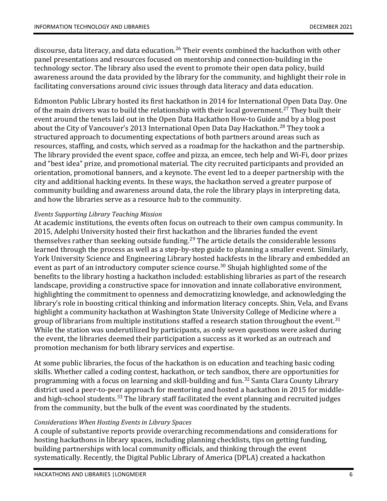discourse, data literacy, and data education. [26](#page-16-10) Their events combined the hackathon with other panel presentations and resources focused on mentorship and connection-building in the technology sector. The library also used the event to promote their open data policy, build awareness around the data provided by the library for the community, and highlight their role in facilitating conversations around civic issues through data literacy and data education.

Edmonton Public Library hosted its first hackathon in 2014 for International Open Data Day. One of the main drivers was to build the relationship with their local government. [27](#page-16-11) They built their event around the tenets laid out in the Open Data Hackathon How-to Guide and by a blog post about the City of Vancouver's 2013 International Open Data Day Hackathon. [28](#page-16-12) They took a structured approach to documenting expectations of both partners around areas such as resources, staffing, and costs, which served as a roadmap for the hackathon and the partnership. The library provided the event space, coffee and pizza, an emcee, tech help and Wi-Fi, door prizes and "best idea" prize, and promotional material. The city recruited participants and provided an orientation, promotional banners, and a keynote. The event led to a deeper partnership with the city and additional hacking events. In these ways, the hackathon served a greater purpose of community building and awareness around data, the role the library plays in interpreting data, and how the libraries serve as a resource hub to the community.

## *Events Supporting Library Teaching Mission*

At academic institutions, the events often focus on outreach to their own campus community. In 2015, Adelphi University hosted their first hackathon and the libraries funded the event themselves rather than seeking outside funding. [29](#page-16-13) The article details the considerable lessons learned through the process as well as a step-by-step guide to planning a smaller event. Similarly, York University Science and Engineering Library hosted hackfests in the library and embedded an event as part of an introductory computer science course. [30](#page-16-14) Shujah highlighted some of the benefits to the library hosting a hackathon included: establishing libraries as part of the research landscape, providing a constructive space for innovation and innate collaborative environment, highlighting the commitment to openness and democratizing knowledge, and acknowledging the library's role in boosting critical thinking and information literacy concepts. Shin, Vela, and Evans highlight a community hackathon at Washington State University College of Medicine where a group of librarians from multiple institutions staffed a research station throughout the event. $^{\rm 31}$  $^{\rm 31}$  $^{\rm 31}$ While the station was underutilized by participants, as only seven questions were asked during the event, the libraries deemed their participation a success as it worked as an outreach and promotion mechanism for both library services and expertise.

At some public libraries, the focus of the hackathon is on education and teaching basic coding skills. Whether called a coding contest, hackathon, or tech sandbox, there are opportunities for programming with a focus on learning and skill-building and fun. [32](#page-17-0) Santa Clara County Library district used a peer-to-peer approach for mentoring and hosted a hackathon in 2015 for middle-and high-school students.<sup>[33](#page-17-1)</sup> The library staff facilitated the event planning and recruited judges from the community, but the bulk of the event was coordinated by the students.

### *Considerations When Hosting Events in Library Spaces*

A couple of substantive reports provide overarching recommendations and considerations for hosting hackathons in library spaces, including planning checklists, tips on getting funding, building partnerships with local community officials, and thinking through the event systematically. Recently, the Digital Public Library of America (DPLA) created a hackathon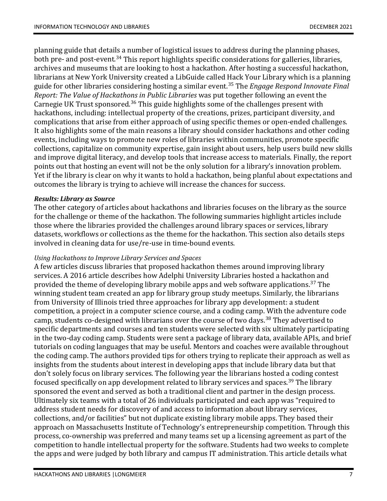planning guide that details a number of logistical issues to address during the planning phases, both pre- and post-event. [34](#page-17-2) This report highlights specific considerations for galleries, libraries, archives and museums that are looking to host a hackathon. After hosting a successful hackathon, librarians at New York University created a LibGuide called Hack Your Library which is a planning guide for other libraries considering hosting a similar event. [35](#page-17-3) The *Engage Respond Innovate Final Report: The Value of Hackathons in Public Libraries* was put together following an event the Carnegie UK Trust sponsored.<sup>[36](#page-17-4)</sup> This guide highlights some of the challenges present with hackathons, including: intellectual property of the creations, prizes, participant diversity, and complications that arise from either approach of using specific themes or open-ended challenges. It also highlights some of the main reasons a library should consider hackathons and other coding events, including ways to promote new roles of libraries within communities, promote specific collections, capitalize on community expertise, gain insight about users, help users build new skills and improve digital literacy, and develop tools that increase access to materials. Finally, the report points out that hosting an event will not be the only solution for a library's innovation problem. Yet if the library is clear on why it wants to hold a hackathon, being planful about expectations and outcomes the library is trying to achieve will increase the chances for success.

### *Results: Library as Source*

The other category of articles about hackathons and libraries focuses on the library as the source for the challenge or theme of the hackathon. The following summaries highlight articles include those where the libraries provided the challenges around library spaces or services, library datasets, workflows or collections as the theme for the hackathon. This section also details steps involved in cleaning data for use/re-use in time-bound events.

### *Using Hackathons to Improve Library Services and Spaces*

A few articles discuss libraries that proposed hackathon themes around improving library services. A 2016 article describes how Adelphi University Libraries hosted a hackathon and provided the theme of developing library mobile apps and web software applications. [37](#page-17-5) The winning student team created an app for library group study meetups. Similarly, the librarians from University of Illinois tried three approaches for library app development: a student competition, a project in a computer science course, and a coding camp. With the adventure code camp, students co-designed with librarians over the course of two days. [38](#page-17-6) They advertised to specific departments and courses and ten students were selected with six ultimately participating in the two-day coding camp. Students were sent a package of library data, available APIs, and brief tutorials on coding languages that may be useful. Mentors and coaches were available throughout the coding camp. The authors provided tips for others trying to replicate their approach as well as insights from the students about interest in developing apps that include library data but that don't solely focus on library services. The following year the librarians hosted a coding contest focused specifically on app development related to library services and spaces.<sup>[39](#page-17-7)</sup> The library sponsored the event and served as both a traditional client and partner in the design process. Ultimately six teams with a total of 26 individuals participated and each app was "required to address student needs for discovery of and access to information about library services, collections, and/or facilities" but not duplicate existing library mobile apps. They based their approach on Massachusetts Institute of Technology's entrepreneurship competition. Through this process, co-ownership was preferred and many teams set up a licensing agreement as part of the competition to handle intellectual property for the software. Students had two weeks to complete the apps and were judged by both library and campus IT administration. This article details what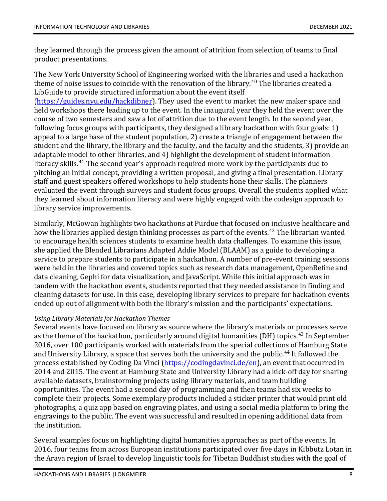they learned through the process given the amount of attrition from selection of teams to final product presentations.

The New York University School of Engineering worked with the libraries and used a hackathon theme of noise issues to coincide with the renovation of the library. [40](#page-17-8) The libraries created a LibGuide to provide structured information about the event itself [\(https://guides.nyu.edu/hackdibner\)](https://guides.nyu.edu/hackdibner). They used the event to market the new maker space and held workshops there leading up to the event. In the inaugural year they held the event over the course of two semesters and saw a lot of attrition due to the event length. In the second year, following focus groups with participants, they designed a library hackathon with four goals: 1)

appeal to a large base of the student population, 2) create a triangle of engagement between the student and the library, the library and the faculty, and the faculty and the students, 3) provide an adaptable model to other libraries, and 4) highlight the development of student information literacy skills. [41](#page-17-9) The second year's approach required more work by the participants due to pitching an initial concept, providing a written proposal, and giving a final presentation. Library staff and guest speakers offered workshops to help students hone their skills. The planners evaluated the event through surveys and student focus groups. Overall the students applied what they learned about information literacy and were highly engaged with the codesign approach to library service improvements.

Similarly, McGowan highlights two hackathons at Purdue that focused on inclusive healthcare and how the libraries applied design thinking processes as part of the events. [42](#page-17-10) The librarian wanted to encourage health sciences students to examine health data challenges. To examine this issue, she applied the Blended Librarians Adapted Addie Model (BLAAM) as a guide to developing a service to prepare students to participate in a hackathon. A number of pre-event training sessions were held in the libraries and covered topics such as research data management, OpenRefine and data cleaning, Gephi for data visualization, and JavaScript. While this initial approach was in tandem with the hackathon events, students reported that they needed assistance in finding and cleaning datasets for use. In this case, developing library services to prepare for hackathon events ended up out of alignment with both the library's mission and the participants' expectations.

### *Using Library Materials for Hackathon Themes*

Several events have focused on library as source where the library's materials or processes serve as the theme of the hackathon, particularly around digital humanities (DH) topics. [43](#page-17-11) In September 2016, over 100 participants worked with materials from the special collections of Hamburg State and University Library, a space that serves both the university and the public. [44](#page-17-12) It followed the process established by Coding Da Vinci [\(https://codingdavinci.de/en\)](https://codingdavinci.de/en), an event that occurred in 2014 and 2015. The event at Hamburg State and University Library had a kick-off day for sharing available datasets, brainstorming projects using library materials, and team building opportunities. The event had a second day of programming and then teams had six weeks to complete their projects. Some exemplary products included a sticker printer that would print old photographs, a quiz app based on engraving plates, and using a social media platform to bring the engravings to the public. The event was successful and resulted in opening additional data from the institution.

Several examples focus on highlighting digital humanities approaches as part of the events. In 2016, four teams from across European institutions participated over five days in Kibbutz Lotan in the Arava region of Israel to develop linguistic tools for Tibetan Buddhist studies with the goal of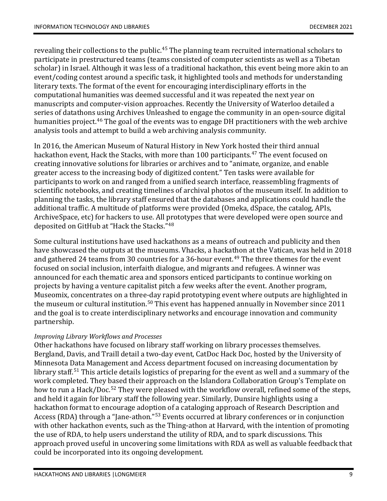revealing their collections to the public.<sup>[45](#page-17-13)</sup> The planning team recruited international scholars to participate in prestructured teams (teams consisted of computer scientists as well as a Tibetan scholar) in Israel. Although it was less of a traditional hackathon, this event being more akin to an event/coding contest around a specific task, it highlighted tools and methods for understanding literary texts. The format of the event for encouraging interdisciplinary efforts in the computational humanities was deemed successful and it was repeated the next year on manuscripts and computer-vision approaches. Recently the University of Waterloo detailed a series of datathons using Archives Unleashed to engage the community in an open-source digital humanities project. [46](#page-17-14) The goal of the events was to engage DH practitioners with the web archive analysis tools and attempt to build a web archiving analysis community.

In 2016, the American Museum of Natural History in New York hosted their third annual hackathon event, Hack the Stacks, with more than 100 participants. [47](#page-17-15) The event focused on creating innovative solutions for libraries or archives and to "animate, organize, and enable greater access to the increasing body of digitized content." Ten tasks were available for participants to work on and ranged from a unified search interface, reassembling fragments of scientific notebooks, and creating timelines of archival photos of the museum itself. In addition to planning the tasks, the library staff ensured that the databases and applications could handle the additional traffic. A multitude of platforms were provided (Omeka, dSpace, the catalog, APIs, ArchiveSpace, etc) for hackers to use. All prototypes that were developed were open source and deposited on GitHub at "Hack the Stacks."[48](#page-18-0)

Some cultural institutions have used hackathons as a means of outreach and publicity and then have showcased the outputs at the museums. Vhacks, a hackathon at the Vatican, was held in 2018 and gathered 24 teams from 30 countries for a 36-hour event. [49](#page-18-1) The three themes for the event focused on social inclusion, interfaith dialogue, and migrants and refugees. A winner was announced for each thematic area and sponsors enticed participants to continue working on projects by having a venture capitalist pitch a few weeks after the event. Another program, Museomix, concentrates on a three-day rapid prototyping event where outputs are highlighted in the museum or cultural institution.<sup>[50](#page-18-2)</sup> This event has happened annually in November since 2011 and the goal is to create interdisciplinary networks and encourage innovation and community partnership.

### *Improving Library Workflows and Processes*

Other hackathons have focused on library staff working on library processes themselves. Bergland, Davis, and Traill detail a two-day event, CatDoc Hack Doc, hosted by the University of Minnesota Data Management and Access department focused on increasing documentation by library staff. [51](#page-18-3) This article details logistics of preparing for the event as well and a summary of the work completed. They based their approach on the Islandora Collaboration Group's Template on how to run a Hack/Doc. [52](#page-18-4) They were pleased with the workflow overall, refined some of the steps, and held it again for library staff the following year. Similarly, Dunsire highlights using a hackathon format to encourage adoption of a cataloging approach of Research Description and Access (RDA) through a "Jane-athon."[53](#page-18-5) Events occurred at library conferences or in conjunction with other hackathon events, such as the Thing-athon at Harvard, with the intention of promoting the use of RDA, to help users understand the utility of RDA, and to spark discussions. This approach proved useful in uncovering some limitations with RDA as well as valuable feedback that could be incorporated into its ongoing development.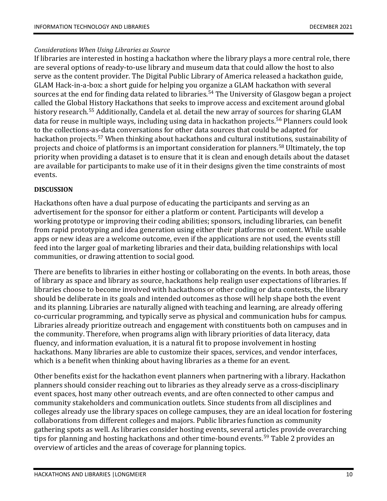### *Considerations When Using Libraries as Source*

If libraries are interested in hosting a hackathon where the library plays a more central role, there are several options of ready-to-use library and museum data that could allow the host to also serve as the content provider. The Digital Public Library of America released a hackathon guide, GLAM Hack-in-a-box: a short guide for helping you organize a GLAM hackathon with several sources at the end for finding data related to libraries. [54](#page-18-6) The University of Glasgow began a project called the Global History Hackathons that seeks to improve access and excitement around global history research. [55](#page-18-7) Additionally, Candela et al. detail the new array of sources for sharing GLAM data for reuse in multiple ways, including using data in hackathon projects. [56](#page-18-8) Planners could look to the collections-as-data conversations for other data sources that could be adapted for hackathon projects. [57](#page-18-9) When thinking about hackathons and cultural institutions, sustainability of projects and choice of platforms is an important consideration for planners. [58](#page-18-10) Ultimately, the top priority when providing a dataset is to ensure that it is clean and enough details about the dataset are available for participants to make use of it in their designs given the time constraints of most events.

### **DISCUSSION**

Hackathons often have a dual purpose of educating the participants and serving as an advertisement for the sponsor for either a platform or content. Participants will develop a working prototype or improving their coding abilities; sponsors, including libraries, can benefit from rapid prototyping and idea generation using either their platforms or content. While usable apps or new ideas are a welcome outcome, even if the applications are not used, the events still feed into the larger goal of marketing libraries and their data, building relationships with local communities, or drawing attention to social good.

There are benefits to libraries in either hosting or collaborating on the events. In both areas, those of library as space and library as source, hackathons help realign user expectations of libraries. If libraries choose to become involved with hackathons or other coding or data contests, the library should be deliberate in its goals and intended outcomes as those will help shape both the event and its planning. Libraries are naturally aligned with teaching and learning, are already offering co-curricular programming, and typically serve as physical and communication hubs for campus. Libraries already prioritize outreach and engagement with constituents both on campuses and in the community. Therefore, when programs align with library priorities of data literacy, data fluency, and information evaluation, it is a natural fit to propose involvement in hosting hackathons. Many libraries are able to customize their spaces, services, and vendor interfaces, which is a benefit when thinking about having libraries as a theme for an event.

Other benefits exist for the hackathon event planners when partnering with a library. Hackathon planners should consider reaching out to libraries as they already serve as a cross-disciplinary event spaces, host many other outreach events, and are often connected to other campus and community stakeholders and communication outlets. Since students from all disciplines and colleges already use the library spaces on college campuses, they are an ideal location for fostering collaborations from different colleges and majors. Public libraries function as community gathering spots as well. As libraries consider hosting events, several articles provide overarching tips for planning and hosting hackathons and other time-bound events. [59](#page-18-11) Table 2 provides an overview of articles and the areas of coverage for planning topics.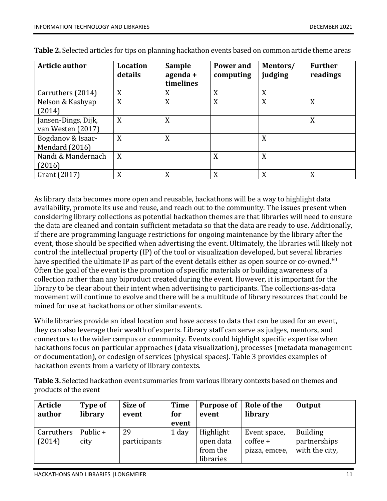| <b>Article author</b>                    | <b>Location</b><br>details | <b>Sample</b><br>agenda +<br>timelines | Power and<br>computing | Mentors/<br>judging | <b>Further</b><br>readings |
|------------------------------------------|----------------------------|----------------------------------------|------------------------|---------------------|----------------------------|
| Carruthers (2014)                        | X                          | X                                      | X                      | X                   |                            |
| Nelson & Kashyap<br>(2014)               | X                          | X                                      | X                      | X                   | X                          |
| Jansen-Dings, Dijk,<br>van Westen (2017) | X                          | X                                      |                        |                     | X                          |
| Bogdanov & Isaac-<br>Mendard (2016)      | X                          | X                                      |                        | X                   |                            |
| Nandi & Mandernach<br>(2016)             | X                          |                                        | X                      | X                   |                            |
| Grant (2017)                             | X                          | X                                      | X                      | X                   | X                          |

**Table 2.** Selected articles for tips on planning hackathon events based on common article theme areas

As library data becomes more open and reusable, hackathons will be a way to highlight data availability, promote its use and reuse, and reach out to the community. The issues present when considering library collections as potential hackathon themes are that libraries will need to ensure the data are cleaned and contain sufficient metadata so that the data are ready to use. Additionally, if there are programming language restrictions for ongoing maintenance by the library after the event, those should be specified when advertising the event. Ultimately, the libraries will likely not control the intellectual property (IP) of the tool or visualization developed, but several libraries have specified the ultimate IP as part of the event details either as open source or co-owned. $\rm ^{60}$  $\rm ^{60}$  $\rm ^{60}$ Often the goal of the event is the promotion of specific materials or building awareness of a collection rather than any biproduct created during the event. However, it is important for the library to be clear about their intent when advertising to participants. The collections-as-data movement will continue to evolve and there will be a multitude of library resources that could be mined for use at hackathons or other similar events.

While libraries provide an ideal location and have access to data that can be used for an event, they can also leverage their wealth of experts. Library staff can serve as judges, mentors, and connectors to the wider campus or community. Events could highlight specific expertise when hackathons focus on particular approaches (data visualization), processes (metadata management or documentation), or codesign of services (physical spaces). Table 3 provides examples of hackathon events from a variety of library contexts.

**Table 3.** Selected hackathon event summaries from various library contexts based on themes and products of the event

| <b>Article</b><br>author | Type of<br>library | Size of<br>event   | <b>Time</b><br>for<br>event | <b>Purpose of</b><br>event                      | Role of the<br>library                      | Output                                            |
|--------------------------|--------------------|--------------------|-----------------------------|-------------------------------------------------|---------------------------------------------|---------------------------------------------------|
| Carruthers<br>(2014)     | Public +<br>city   | 29<br>participants | 1 day                       | Highlight<br>open data<br>from the<br>libraries | Event space,<br>$cofree +$<br>pizza, emcee, | <b>Building</b><br>partnerships<br>with the city, |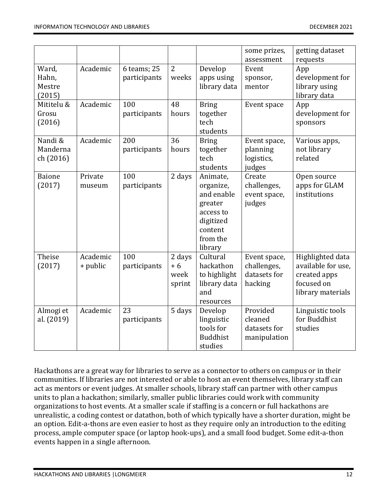|                                    |                      |                             |                                  |                                                                                                            | some prizes,<br>assessment                             | getting dataset<br>requests                                                               |
|------------------------------------|----------------------|-----------------------------|----------------------------------|------------------------------------------------------------------------------------------------------------|--------------------------------------------------------|-------------------------------------------------------------------------------------------|
| Ward,<br>Hahn,<br>Mestre<br>(2015) | Academic             | 6 teams; 25<br>participants | $\overline{2}$<br>weeks          | Develop<br>apps using<br>library data                                                                      | Event<br>sponsor,<br>mentor                            | App<br>development for<br>library using<br>library data                                   |
| Mititelu &<br>Grosu<br>(2016)      | Academic             | 100<br>participants         | 48<br>hours                      | <b>Bring</b><br>together<br>tech<br>students                                                               | Event space                                            | App<br>development for<br>sponsors                                                        |
| Nandi &<br>Manderna<br>ch (2016)   | Academic             | 200<br>participants         | 36<br>hours                      | <b>Bring</b><br>together<br>tech<br>students                                                               | Event space,<br>planning<br>logistics,<br>judges       | Various apps,<br>not library<br>related                                                   |
| <b>Baione</b><br>(2017)            | Private<br>museum    | 100<br>participants         | 2 days                           | Animate,<br>organize,<br>and enable<br>greater<br>access to<br>digitized<br>content<br>from the<br>library | Create<br>challenges,<br>event space,<br>judges        | Open source<br>apps for GLAM<br>institutions                                              |
| Theise<br>(2017)                   | Academic<br>+ public | 100<br>participants         | 2 days<br>$+6$<br>week<br>sprint | Cultural<br>hackathon<br>to highlight<br>library data<br>and<br>resources                                  | Event space,<br>challenges,<br>datasets for<br>hacking | Highlighted data<br>available for use,<br>created apps<br>focused on<br>library materials |
| Almogi et<br>al. (2019)            | Academic             | 23<br>participants          | 5 days                           | Develop<br>linguistic<br>tools for<br><b>Buddhist</b><br>studies                                           | Provided<br>cleaned<br>datasets for<br>manipulation    | Linguistic tools<br>for Buddhist<br>studies                                               |

Hackathons are a great way for libraries to serve as a connector to others on campus or in their communities. If libraries are not interested or able to host an event themselves, library staff can act as mentors or event judges. At smaller schools, library staff can partner with other campus units to plan a hackathon; similarly, smaller public libraries could work with community organizations to host events. At a smaller scale if staffing is a concern or full hackathons are unrealistic, a coding contest or datathon, both of which typically have a shorter duration, might be an option. Edit-a-thons are even easier to host as they require only an introduction to the editing process, ample computer space (or laptop hook-ups), and a small food budget. Some edit-a-thon events happen in a single afternoon.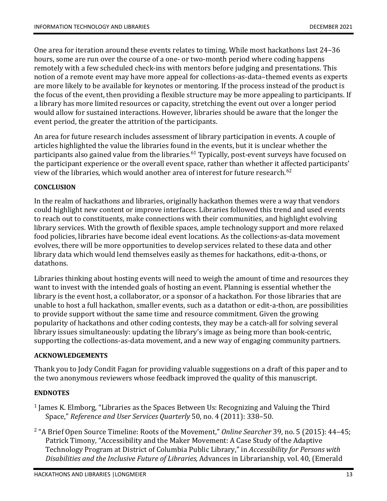One area for iteration around these events relates to timing. While most hackathons last 24–36 hours, some are run over the course of a one- or two-month period where coding happens remotely with a few scheduled check-ins with mentors before judging and presentations. This notion of a remote event may have more appeal for collections-as-data–themed events as experts are more likely to be available for keynotes or mentoring. If the process instead of the product is the focus of the event, then providing a flexible structure may be more appealing to participants. If a library has more limited resources or capacity, stretching the event out over a longer period would allow for sustained interactions. However, libraries should be aware that the longer the event period, the greater the attrition of the participants.

An area for future research includes assessment of library participation in events. A couple of articles highlighted the value the libraries found in the events, but it is unclear whether the participants also gained value from the libraries. [61](#page-19-0) Typically, post-event surveys have focused on the participant experience or the overall event space, rather than whether it affected participants' view of the libraries, which would another area of interest for future research. [62](#page-19-1)

### **CONCLUSION**

In the realm of hackathons and libraries, originally hackathon themes were a way that vendors could highlight new content or improve interfaces. Libraries followed this trend and used events to reach out to constituents, make connections with their communities, and highlight evolving library services. With the growth of flexible spaces, ample technology support and more relaxed food policies, libraries have become ideal event locations. As the collections-as-data movement evolves, there will be more opportunities to develop services related to these data and other library data which would lend themselves easily as themes for hackathons, edit-a-thons, or datathons.

Libraries thinking about hosting events will need to weigh the amount of time and resources they want to invest with the intended goals of hosting an event. Planning is essential whether the library is the event host, a collaborator, or a sponsor of a hackathon. For those libraries that are unable to host a full hackathon, smaller events, such as a datathon or edit-a-thon, are possibilities to provide support without the same time and resource commitment. Given the growing popularity of hackathons and other coding contests, they may be a catch-all for solving several library issues simultaneously: updating the library's image as being more than book-centric, supporting the collections-as-data movement, and a new way of engaging community partners.

### **ACKNOWLEDGEMENTS**

Thank you to Jody Condit Fagan for providing valuable suggestions on a draft of this paper and to the two anonymous reviewers whose feedback improved the quality of this manuscript.

### **ENDNOTES**

- <span id="page-13-0"></span><sup>1</sup> James K. Elmborg, "Libraries as the Spaces Between Us: Recognizing and Valuing the Third Space," *Reference and User Services Quarterly* 50, no. 4 (2011): 338–50.
- <span id="page-13-1"></span><sup>2</sup> "A Brief Open Source Timeline: Roots of the Movement," *Online Searcher* 39, no. 5 (2015): 44–45; Patrick Timony, "Accessibility and the Maker Movement: A Case Study of the Adaptive Technology Program at District of Columbia Public Library," in *Accessibility for Persons with Disabilities and the Inclusive Future of Libraries,* Advances in Librarianship, vol. 40, (Emerald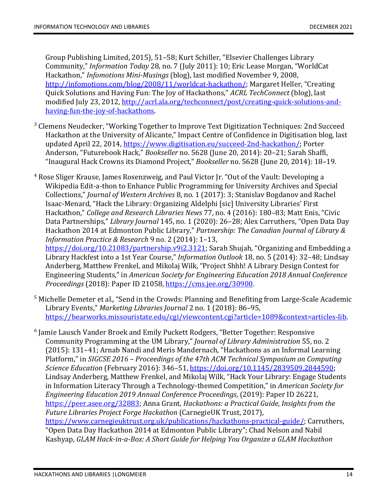Group Publishing Limited, 2015), 51–58; Kurt Schiller, "Elsevier Challenges Library Community," *Information Today* 28, no. 7 (July 2011): 10; Eric Lease Morgan, "WorldCat Hackathon," *Infomotions Mini-Musings* (blog), last modified November 9, 2008, [http://infomotions.com/blog/2008/11/worldcat-hackathon/;](http://infomotions.com/blog/2008/11/worldcat-hackathon/) Margaret Heller, "Creating Quick Solutions and Having Fun: The Joy of Hackathons," *ACRL TechConnect* (blog), last modified July 23, 2012, [http://acrl.ala.org/techconnect/post/creating-quick-solutions-and](http://acrl.ala.org/techconnect/post/creating-quick-solutions-and-having-fun-the-joy-of-hackathons)[having-fun-the-joy-of-hackathons.](http://acrl.ala.org/techconnect/post/creating-quick-solutions-and-having-fun-the-joy-of-hackathons)

- <span id="page-14-0"></span><sup>3</sup> Clemens Neudecker, "Working Together to Improve Text Digitization Techniques: 2nd Succeed Hackathon at the University of Alicante," Impact Centre of Confidence in Digitisation blog, last updated April 22, 2014, [https://www.digitisation.eu/succeed-2nd-hackathon/;](https://www.digitisation.eu/succeed-2nd-hackathon/) Porter Anderson, "Futurebook Hack," *Bookseller* no. 5628 (June 20, 2014): 20–21; Sarah Shaffi, "Inaugural Hack Crowns its Diamond Project," *Bookseller* no. 5628 (June 20, 2014): 18–19.
- <span id="page-14-1"></span><sup>4</sup> Rose Sliger Krause, James Rosenzweig, and Paul Victor Jr. "Out of the Vault: Developing a Wikipedia Edit-a-thon to Enhance Public Programming for University Archives and Special Collections," *Journal of Western Archives* 8, no. 1 (2017): 3; Stanislav Bogdanov and Rachel Isaac-Menard, "Hack the Library: Organizing Aldelphi [sic] University Libraries' First Hackathon," *College and Research Libraries News* 77, no. 4 (2016): 180–83; Matt Enis, "Civic Data Partnerships," *Library Journal* 145, no. 1 (2020): 26–28; Alex Carruthers, "Open Data Day Hackathon 2014 at Edmonton Public Library," *Partnership: The Canadian Journal of Library & Information Practice & Research* 9 no. 2 (2014): 1–13, [https://doi.org/10.21083/partnership.v9i2.3121;](https://doi.org/10.21083/partnership.v9i2.3121) Sarah Shujah, "Organizing and Embedding a Library Hackfest into a 1st Year Course," *Information Outlook* 18, no. 5 (2014): 32–48; Lindsay Anderberg, Matthew Frenkel, and Mikolaj Wilk, "Project Shhh! A Library Design Contest for Engineering Students," in *American Society for Engineering Education 2018 Annual Conference Proceedings* (2018): Paper ID 21058, [https://cms.jee.org/30900.](https://cms.jee.org/30900)
- <span id="page-14-2"></span><sup>5</sup> Michelle Demeter et al., "Send in the Crowds: Planning and Benefiting from Large-Scale Academic Library Events," *Marketing Libraries Journal* 2 no. 1 (2018): 86–95, [https://bearworks.missouristate.edu/cgi/viewcontent.cgi?article=1089&context=articles-lib.](https://bearworks.missouristate.edu/cgi/viewcontent.cgi?article=1089&context=articles-lib)
- <span id="page-14-3"></span> $6$  Jamie Lausch Vander Broek and Emily Puckett Rodgers, "Better Together: Responsive Community Programming at the UM Library," *Journal of Library Administration* 55, no. 2 (2015): 131–41; Arnab Nandi and Meris Mandernach, "Hackathons as an Informal Learning Platform," in *SIGCSE 2016 – Proceedings of the 47th ACM Technical Symposium on Computing Science Education* (February 2016): 346–51, [https://doi.org/10.1145/2839509.2844590;](https://doi.org/10.1145/2839509.2844590) Lindsay Anderberg, Matthew Frenkel, and Mikolaj Wilk, "Hack Your Library: Engage Students in Information Literacy Through a Technology-themed Competition," in *American Society for Engineering Education 2019 Annual Conference Proceedings*, (2019): Paper ID 26221, [https://peer.asee.org/32883;](https://peer.asee.org/32883) Anna Grant, *Hackathons: a Practical Guide, Insights from the Future Libraries Project Forge Hackathon* (CarnegieUK Trust, 2017), [https://www.carnegieuktrust.org.uk/publications/hackathons-practical-guide/;](https://www.carnegieuktrust.org.uk/publications/hackathons-practical-guide/) Carruthers, "Open Data Day Hackathon 2014 at Edmonton Public Library"; Chad Nelson and Nabil Kashyap, *GLAM Hack-in-a-Box: A Short Guide for Helping You Organize a GLAM Hackathon*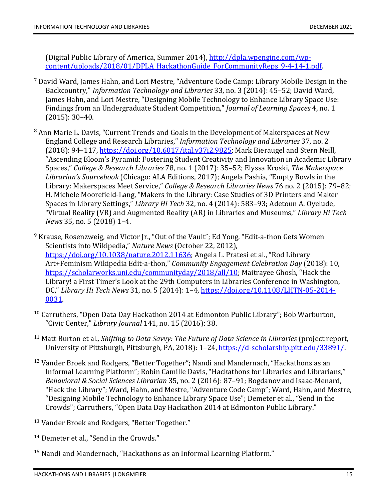(Digital Public Library of America, Summer 2014), [http://dpla.wpengine.com/wp](http://dpla.wpengine.com/wp-content/uploads/2018/01/DPLA_HackathonGuide_ForCommunityReps_9-4-14-1.pdf)[content/uploads/2018/01/DPLA\\_HackathonGuide\\_ForCommunityReps\\_9-4-14-1.pdf.](http://dpla.wpengine.com/wp-content/uploads/2018/01/DPLA_HackathonGuide_ForCommunityReps_9-4-14-1.pdf)

- <span id="page-15-0"></span><sup>7</sup> David Ward, James Hahn, and Lori Mestre, "Adventure Code Camp: Library Mobile Design in the Backcountry," *Information Technology and Libraries* 33, no. 3 (2014): 45–52; David Ward, James Hahn, and Lori Mestre, "Designing Mobile Technology to Enhance Library Space Use: Findings from an Undergraduate Student Competition," *Journal of Learning Spaces* 4, no. 1 (2015): 30–40.
- <span id="page-15-1"></span><sup>8</sup> Ann Marie L. Davis, "Current Trends and Goals in the Development of Makerspaces at New England College and Research Libraries," *Information Technology and Libraries* 37, no. 2 (2018): 94–117, [https://doi.org/10.6017/ital.v37i2.9825;](https://doi.org/10.6017/ital.v37i2.9825) Mark Bieraugel and Stern Neill, "Ascending Bloom's Pyramid: Fostering Student Creativity and Innovation in Academic Library Spaces," *College & Research Libraries* 78, no. 1 (2017): 35–52; Elyssa Kroski, *The Makerspace Librarian's Sourcebook* (Chicago: ALA Editions, 2017); Angela Pashia, "Empty Bowls in the Library: Makerspaces Meet Service," *College & Research Libraries News* 76 no. 2 (2015): 79–82; H. Michele Moorefield-Lang, "Makers in the Library: Case Studies of 3D Printers and Maker Spaces in Library Settings," *Library Hi Tech* 32, no. 4 (2014): 583–93; Adetoun A. Oyelude, "Virtual Reality (VR) and Augmented Reality (AR) in Libraries and Museums," *Library Hi Tech News* 35, no. 5 (2018) 1–4.
- <span id="page-15-2"></span><sup>9</sup> Krause, Rosenzweig, and Victor Jr., "Out of the Vault"; Ed Yong, "Edit-a-thon Gets Women Scientists into Wikipedia," *Nature News* (October 22, 2012), [https://doi.org/10.1038/nature.2012.11636;](https://doi.org/10.1038/nature.2012.11636) Angela L. Pratesi et al., "Rod Library Art+Feminism Wikipedia Edit-a-thon," *Community Engagement Celebration Day* (2018): 10, [https://scholarworks.uni.edu/communityday/2018/all/10;](https://scholarworks.uni.edu/communityday/2018/all/10) Maitrayee Ghosh, "Hack the Library! a First Timer's Look at the 29th Computers in Libraries Conference in Washington, DC," *Library Hi Tech News* 31, no. 5 (2014): 1–4, [https://doi.org/10.1108/LHTN-05-2014-](https://doi.org/10.1108/LHTN-05-2014-0031) [0031.](https://doi.org/10.1108/LHTN-05-2014-0031)
- <span id="page-15-3"></span> $10$  Carruthers, "Open Data Day Hackathon 2014 at Edmonton Public Library"; Bob Warburton, "Civic Center," *Library Journal* 141, no. 15 (2016): 38.
- <span id="page-15-4"></span><sup>11</sup> Matt Burton et al.*, Shifting to Data Savvy: The Future of Data Science in Libraries* (project report, University of Pittsburgh, Pittsburgh, PA, 2018): 1–24, [https://d-scholarship.pitt.edu/33891/.](https://d-scholarship.pitt.edu/33891/)
- <span id="page-15-5"></span><sup>12</sup> Vander Broek and Rodgers, "Better Together"; Nandi and Mandernach, "Hackathons as an Informal Learning Platform"; Robin Camille Davis, "Hackathons for Libraries and Librarians," *Behavioral & Social Sciences Librarian* 35, no. 2 (2016): 87–91; Bogdanov and Isaac-Menard, "Hack the Library"; Ward, Hahn, and Mestre, "Adventure Code Camp"; Ward, Hahn, and Mestre, "Designing Mobile Technology to Enhance Library Space Use"; Demeter et al., "Send in the Crowds"; Carruthers, "Open Data Day Hackathon 2014 at Edmonton Public Library."
- <span id="page-15-6"></span><sup>13</sup> Vander Broek and Rodgers, "Better Together."
- <span id="page-15-7"></span><sup>14</sup> Demeter et al., "Send in the Crowds."
- <span id="page-15-8"></span><sup>15</sup> Nandi and Mandernach, "Hackathons as an Informal Learning Platform."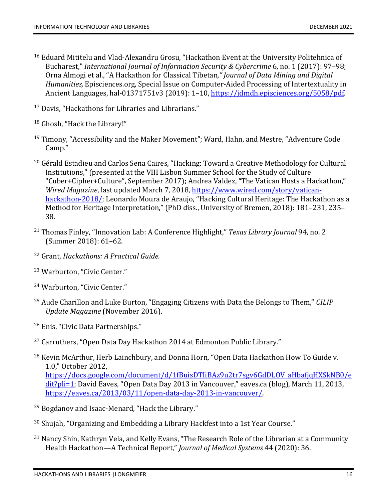- <span id="page-16-0"></span><sup>16</sup> Eduard Mititelu and Vlad-Alexandru Grosu, "Hackathon Event at the University Politehnica of Bucharest," *International Journal of Information Security & Cybercrime* 6, no. 1 (2017): 97–98; Orna Almogi et al., "A Hackathon for Classical Tibetan*," Journal of Data Mining and Digital Humanities,* Episciences.org, Special Issue on Computer-Aided Processing of Intertextuality in Ancient Languages, hal-01371751v3 (2019): 1-10, [https://jdmdh.episciences.org/5058/pdf.](https://jdmdh.episciences.org/5058/pdf)
- <span id="page-16-1"></span><sup>17</sup> Davis, "Hackathons for Libraries and Librarians."
- <span id="page-16-2"></span><sup>18</sup> Ghosh, "Hack the Library!"
- <span id="page-16-3"></span><sup>19</sup> Timony, "Accessibility and the Maker Movement"; Ward, Hahn, and Mestre, "Adventure Code Camp."
- <span id="page-16-4"></span><sup>20</sup> Gérald Estadieu and Carlos Sena Caires, "Hacking: Toward a Creative Methodology for Cultural Institutions," (presented at the VIII Lisbon Summer School for the Study of Culture "Cuber+Cipher+Culture", September 2017); Andrea Valdez, "The Vatican Hosts a Hackathon," *Wired Magazine*, last updated March 7, 2018, [https://www.wired.com/story/vatican](https://www.wired.com/story/vatican-hackathon-2018/)[hackathon-2018/;](https://www.wired.com/story/vatican-hackathon-2018/) Leonardo Moura de Araujo, "Hacking Cultural Heritage: The Hackathon as a Method for Heritage Interpretation," (PhD diss., University of Bremen, 2018): 181–231, 235– 38.
- <span id="page-16-5"></span><sup>21</sup> Thomas Finley, "Innovation Lab: A Conference Highlight," *Texas Library Journal* 94, no. 2 (Summer 2018): 61–62.
- <span id="page-16-6"></span><sup>22</sup> Grant, *Hackathons: A Practical Guide.*
- <span id="page-16-7"></span><sup>23</sup> Warburton, "Civic Center."
- <span id="page-16-8"></span><sup>24</sup> Warburton, "Civic Center."
- <span id="page-16-9"></span><sup>25</sup> Aude Charillon and Luke Burton, "Engaging Citizens with Data the Belongs to Them," *CILIP Update Magazine* (November 2016).
- <span id="page-16-10"></span><sup>26</sup> Enis, "Civic Data Partnerships."
- <span id="page-16-11"></span><sup>27</sup> Carruthers, "Open Data Day Hackathon 2014 at Edmonton Public Library."
- <span id="page-16-12"></span><sup>28</sup> Kevin McArthur, Herb Lainchbury, and Donna Horn, "Open Data Hackathon How To Guide v. 1.0," October 2012, [https://docs.google.com/document/d/1fBuisDTIiBAz9u2tr7sgv6GdDLOV\\_aHbafjqHXSkNB0/e](https://docs.google.com/document/d/1fBuisDTIiBAz9u2tr7sgv6GdDLOV_aHbafjqHXSkNB0/edit?pli=1) [dit?pli=1;](https://docs.google.com/document/d/1fBuisDTIiBAz9u2tr7sgv6GdDLOV_aHbafjqHXSkNB0/edit?pli=1) David Eaves, "Open Data Day 2013 in Vancouver," eaves.ca (blog), March 11, 2013, [https://eaves.ca/2013/03/11/open-data-day-2013-in-vancouver/.](https://eaves.ca/2013/03/11/open-data-day-2013-in-vancouver/)
- <span id="page-16-13"></span><sup>29</sup> Bogdanov and Isaac-Menard, "Hack the Library."
- <span id="page-16-14"></span><sup>30</sup> Shujah, "Organizing and Embedding a Library Hackfest into a 1st Year Course."
- <span id="page-16-15"></span><sup>31</sup> Nancy Shin, Kathryn Vela, and Kelly Evans, "The Research Role of the Librarian at a Community Health Hackathon—A Technical Report," *Journal of Medical Systems* 44 (2020): 36.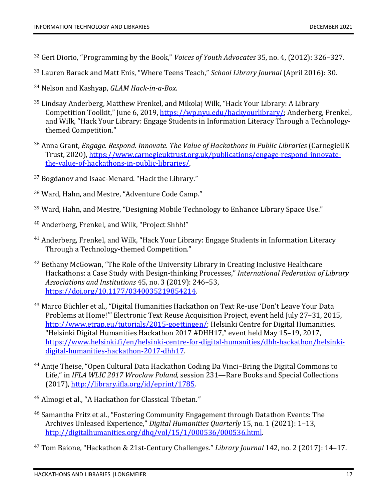- <span id="page-17-0"></span><sup>32</sup> Geri Diorio, "Programming by the Book," *Voices of Youth Advocates* 35, no. 4, (2012): 326–327.
- <span id="page-17-1"></span><sup>33</sup> Lauren Barack and Matt Enis, "Where Teens Teach," *School Library Journal* (April 2016): 30.
- <span id="page-17-2"></span><sup>34</sup> Nelson and Kashyap, *GLAM Hack-in-a-Box*.
- <span id="page-17-3"></span><sup>35</sup> Lindsay Anderberg, Matthew Frenkel, and Mikolaj Wilk, "Hack Your Library: A Library Competition Toolkit," June 6, 2019, [https://wp.nyu.edu/hackyourlibrary/;](https://wp.nyu.edu/hackyourlibrary/) Anderberg, Frenkel, and Wilk, "Hack Your Library: Engage Students in Information Literacy Through a Technologythemed Competition."
- <span id="page-17-4"></span><sup>36</sup> Anna Grant, *Engage. Respond. Innovate. The Value of Hackathons in Public Libraries* (CarnegieUK Trust, 2020), [https://www.carnegieuktrust.org.uk/publications/engage-respond-innovate](https://www.carnegieuktrust.org.uk/publications/engage-respond-innovate-the-value-of-hackathons-in-public-libraries/)[the-value-of-hackathons-in-public-libraries/.](https://www.carnegieuktrust.org.uk/publications/engage-respond-innovate-the-value-of-hackathons-in-public-libraries/)
- <span id="page-17-5"></span><sup>37</sup> Bogdanov and Isaac-Menard. "Hack the Library."
- <span id="page-17-6"></span><sup>38</sup> Ward, Hahn, and Mestre, "Adventure Code Camp."
- <span id="page-17-7"></span><sup>39</sup> Ward, Hahn, and Mestre, "Designing Mobile Technology to Enhance Library Space Use."
- <span id="page-17-8"></span><sup>40</sup> Anderberg, Frenkel, and Wilk, "Project Shhh!"
- <span id="page-17-9"></span><sup>41</sup> Anderberg, Frenkel, and Wilk, "Hack Your Library: Engage Students in Information Literacy Through a Technology-themed Competition."
- <span id="page-17-10"></span><sup>42</sup> Bethany McGowan, "The Role of the University Library in Creating Inclusive Healthcare Hackathons: a Case Study with Design-thinking Processes," *International Federation of Library Associations and Institutions* 45, no. 3 (2019): 246–53, [https://doi.org/10.1177/0340035219854214.](https://doi.org/10.1177%2F0340035219854214)
- <span id="page-17-11"></span><sup>43</sup> Marco Büchler et al., "Digital Humanities Hackathon on Text Re-use 'Don't Leave Your Data Problems at Home!'" Electronic Text Reuse Acquisition Project, event held July 27–31, 2015, [http://www.etrap.eu/tutorials/2015-goettingen/;](http://www.etrap.eu/tutorials/2015-goettingen/) Helsinki Centre for Digital Humanities, "Helsinki Digital Humanities Hackathon 2017 #DHH17," event held May 15–19, 2017, [https://www.helsinki.fi/en/helsinki-centre-for-digital-humanities/dhh-hackathon/helsinki](https://www.helsinki.fi/en/helsinki-centre-for-digital-humanities/dhh-hackathon/helsinki-digital-humanities-hackathon-2017-dhh17)[digital-humanities-hackathon-2017-dhh17.](https://www.helsinki.fi/en/helsinki-centre-for-digital-humanities/dhh-hackathon/helsinki-digital-humanities-hackathon-2017-dhh17)
- <span id="page-17-12"></span><sup>44</sup> Antje Theise, "Open Cultural Data Hackathon Coding Da Vinci–Bring the Digital Commons to Life," in *IFLA WLIC 2017 Wroclaw Poland,* session 231—Rare Books and Special Collections (2017), [http://library.ifla.org/id/eprint/1785.](http://library.ifla.org/id/eprint/1785)
- <span id="page-17-13"></span><sup>45</sup> Almogi et al., "A Hackathon for Classical Tibetan.*"*
- <span id="page-17-14"></span><sup>46</sup> Samantha Fritz et al., "Fostering Community Engagement through Datathon Events: The Archives Unleased Experience," *Digital Humanities Quarterly* 15, no. 1 (2021): 1–13, [http://digitalhumanities.org/dhq/vol/15/1/000536/000536.html.](http://digitalhumanities.org/dhq/vol/15/1/000536/000536.html)
- <span id="page-17-15"></span><sup>47</sup> Tom Baione, "Hackathon & 21st-Century Challenges." *Library Journal* 142, no. 2 (2017): 14–17.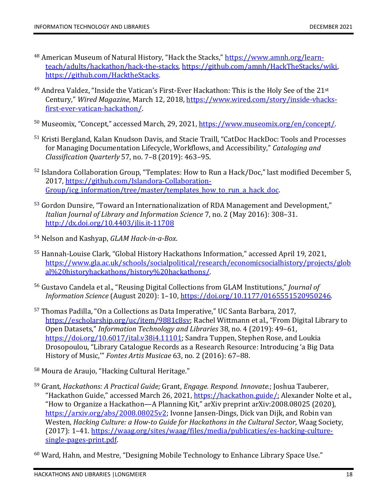- <span id="page-18-0"></span><sup>48</sup> American Museum of Natural History, "Hack the Stacks," [https://www.amnh.org/learn](https://www.amnh.org/learn-teach/adults/hackathon/hack-the-stacks)[teach/adults/hackathon/hack-the-stacks,](https://www.amnh.org/learn-teach/adults/hackathon/hack-the-stacks) [https://github.com/amnh/HackTheStacks/wiki,](https://github.com/amnh/HackTheStacks/wiki) [https://github.com/HacktheStacks.](https://github.com/HacktheStacks)
- <span id="page-18-1"></span><sup>49</sup> Andrea Valdez. "Inside the Vatican's First-Ever Hackathon: This is the Holy See of the 21<sup>st</sup> Century," *Wired Magazine,* March 12, 2018, [https://www.wired.com/story/inside-vhacks](https://www.wired.com/story/inside-vhacks-first-ever-vatican-hackathon/)[first-ever-vatican-hackathon/.](https://www.wired.com/story/inside-vhacks-first-ever-vatican-hackathon/)
- <span id="page-18-2"></span><sup>50</sup> Museomix, "Concept," accessed March, 29, 2021, [https://www.museomix.org/en/concept/.](https://www.museomix.org/en/concept/)
- <span id="page-18-3"></span><sup>51</sup> Kristi Bergland, Kalan Knudson Davis, and Stacie Traill, "CatDoc HackDoc: Tools and Processes for Managing Documentation Lifecycle, Workflows, and Accessibility," *Cataloging and Classification Quarterly* 57, no. 7–8 (2019): 463–95.
- <span id="page-18-4"></span><sup>52</sup> Islandora Collaboration Group, "Templates: How to Run a Hack/Doc," last modified December 5, 2017, [https://github.com/Islandora-Collaboration-](https://github.com/Islandora-Collaboration-Group/icg_information/tree/master/templates_how_to_run_a_hack_doc)[Group/icg\\_information/tree/master/templates\\_how\\_to\\_run\\_a\\_hack\\_doc.](https://github.com/Islandora-Collaboration-Group/icg_information/tree/master/templates_how_to_run_a_hack_doc)
- <span id="page-18-5"></span><sup>53</sup> Gordon Dunsire, "Toward an Internationalization of RDA Management and Development," *Italian Journal of Library and Information Science* 7, no. 2 (May 2016): 308–31. <http://dx.doi.org/10.4403/jlis.it-11708>
- <span id="page-18-6"></span><sup>54</sup> Nelson and Kashyap, *GLAM Hack-in-a-Box*.
- <span id="page-18-7"></span><sup>55</sup> Hannah-Louise Clark, "Global History Hackathons Information," accessed April 19, 2021, [https://www.gla.ac.uk/schools/socialpolitical/research/economicsocialhistory/projects/glob](https://www.gla.ac.uk/schools/socialpolitical/research/economicsocialhistory/projects/global%20historyhackathons/history%20hackathons/) [al%20historyhackathons/history%20hackathons/.](https://www.gla.ac.uk/schools/socialpolitical/research/economicsocialhistory/projects/global%20historyhackathons/history%20hackathons/)
- <span id="page-18-8"></span><sup>56</sup> Gustavo Candela et al., "Reusing Digital Collections from GLAM Institutions," *Journal of Information Science* (August 2020): 1–10[, https://doi.org/10.1177/0165551520950246.](https://doi.org/10.1177%2F0165551520950246)
- <span id="page-18-9"></span><sup>57</sup> Thomas Padilla, "On a Collections as Data Imperative," UC Santa Barbara, 2017, [https://escholarship.org/uc/item/9881c8sv;](https://escholarship.org/uc/item/9881c8sv) Rachel Wittmann et al., "From Digital Library to Open Datasets," *Information Technology and Libraries* 38, no. 4 (2019): 49–61, [https://doi.org/10.6017/ital.v38i4.11101;](https://doi.org/10.6017/ital.v38i4.11101) Sandra Tuppen, Stephen Rose, and Loukia Drosopoulou, "Library Catalogue Records as a Research Resource: Introducing 'a Big Data History of Music,'" *Fontes Artis Musicae* 63, no. 2 (2016): 67–88.
- <span id="page-18-10"></span><sup>58</sup> Moura de Araujo, "Hacking Cultural Heritage."
- <span id="page-18-11"></span><sup>59</sup> Grant, *Hackathons: A Practical Guide;* Grant, *Engage. Respond. Innovate.*; Joshua Tauberer, "Hackathon Guide," accessed March 26, 2021, [https://hackathon.guide/;](https://hackathon.guide/) Alexander Nolte et al., "How to Organize a Hackathon—A Planning Kit," arXiv preprint arXiv:2008.08025 (2020), [https://arxiv.org/abs/2008.08025v2;](https://arxiv.org/abs/2008.08025v2) Ivonne Jansen-Dings, Dick van Dijk, and Robin van Westen, *Hacking Culture: a How-to Guide for Hackathons in the Cultural Sector*, Waag Society, (2017): 1–41. [https://waag.org/sites/waag/files/media/publicaties/es-hacking-culture](https://waag.org/sites/waag/files/media/publicaties/es-hacking-culture-single-pages-print.pdf)[single-pages-print.pdf.](https://waag.org/sites/waag/files/media/publicaties/es-hacking-culture-single-pages-print.pdf)
- <span id="page-18-12"></span> $60$  Ward, Hahn, and Mestre, "Designing Mobile Technology to Enhance Library Space Use."